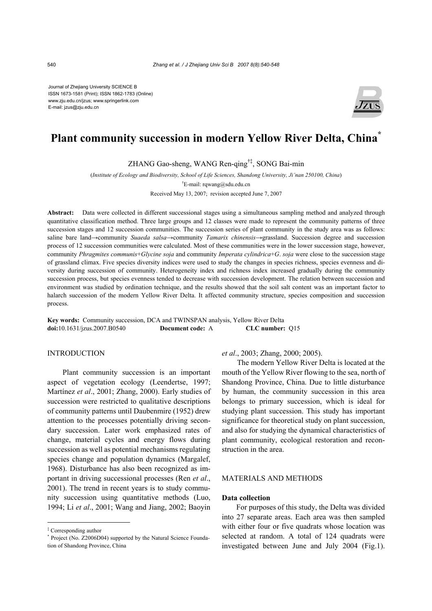Journal of Zhejiang University SCIENCE B ISSN 1673-1581 (Print); ISSN 1862-1783 (Online) www.zju.edu.cn/jzus; www.springerlink.com E-mail: jzus@zju.edu.cn



# **Plant community succession in modern Yellow River Delta, China\***

ZHANG Gao-sheng, WANG Ren-qing†‡, SONG Bai-min

(*Institute of Ecology and Biodiversity, School of Life Sciences, Shandong University, Ji'nan 250100, China*)

† E-mail: rqwang@sdu.edu.cn

Received May 13, 2007; revision accepted June 7, 2007

**Abstract:** Data were collected in different successional stages using a simultaneous sampling method and analyzed through quantitative classification method. Three large groups and 12 classes were made to represent the community patterns of three succession stages and 12 succession communities. The succession series of plant community in the study area was as follows: saline bare land→community *Suaeda salsa*→community *Tamarix chinensis*→grassland. Succession degree and succession process of 12 succession communities were calculated. Most of these communities were in the lower succession stage, however, community *Phragmites communis*+*Glycine soja* and community *Imperata cylindrica*+*G*. *soja* were close to the succession stage of grassland climax. Five species diversity indices were used to study the changes in species richness, species evenness and diversity during succession of community. Heterogeneity index and richness index increased gradually during the community succession process, but species evenness tended to decrease with succession development. The relation between succession and environment was studied by ordination technique, and the results showed that the soil salt content was an important factor to halarch succession of the modern Yellow River Delta. It affected community structure, species composition and succession process.

**Key words:** Community succession, DCA and TWINSPAN analysis, Yellow River Delta **doi:**10.1631/jzus.2007.B0540 **Document code:** A **CLC number:** Q15

# INTRODUCTION

Plant community succession is an important aspect of vegetation ecology (Leendertse, 1997; Martínez *et al*., 2001; Zhang, 2000). Early studies of succession were restricted to qualitative descriptions of community patterns until Daubenmire (1952) drew attention to the processes potentially driving secondary succession. Later work emphasized rates of change, material cycles and energy flows during succession as well as potential mechanisms regulating species change and population dynamics (Margalef, 1968). Disturbance has also been recognized as important in driving successional processes (Ren *et al*., 2001). The trend in recent years is to study community succession using quantitative methods (Luo, 1994; Li *et al*., 2001; Wang and Jiang, 2002; Baoyin

*et al*., 2003; Zhang, 2000; 2005).

The modern Yellow River Delta is located at the mouth of the Yellow River flowing to the sea, north of Shandong Province, China. Due to little disturbance by human, the community succession in this area belongs to primary succession, which is ideal for studying plant succession. This study has important significance for theoretical study on plant succession, and also for studying the dynamical characteristics of plant community, ecological restoration and reconstruction in the area.

#### MATERIALS AND METHODS

## **Data collection**

For purposes of this study, the Delta was divided into 27 separate areas. Each area was then sampled with either four or five quadrats whose location was selected at random. A total of 124 quadrats were investigated between June and July 2004 (Fig.1).

<sup>‡</sup> Corresponding author

<sup>\*</sup> Project (No. Z2006D04) supported by the Natural Science Foundation of Shandong Province, China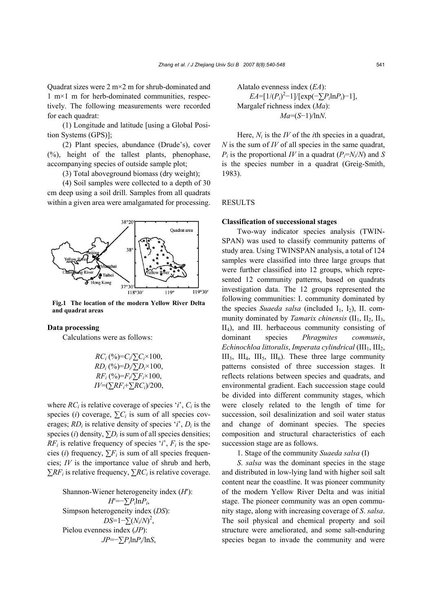(1) Longitude and latitude [using a Global Position Systems (GPS)];

(2) Plant species, abundance (Drude's), cover (%), height of the tallest plants, phenophase, accompanying species of outside sample plot;

(3) Total aboveground biomass (dry weight);

(4) Soil samples were collected to a depth of 30 cm deep using a soil drill. Samples from all quadrats within a given area were amalgamated for processing.



**Fig.1 The location of the modern Yellow River Delta and quadrat areas** 

#### **Data processing**

Calculations were as follows:

$$
RC_{i} (\%)=C_{i}/\sum C_{i} \times 100, R_{i} (\%)=D_{i}/\sum D_{i} \times 100, R_{i} (\%)=F_{i}/\sum F_{i} \times 100, IV=(\sum RF_{i}+\sum RC_{i})/200,
$$

where  $RC<sub>i</sub>$  is relative coverage of species '*i*',  $C<sub>i</sub>$  is the species (*i*) coverage,  $\sum C_i$  is sum of all species coverages;  $RD_i$  is relative density of species '*i*',  $D_i$  is the species (*i*) density,  $\sum D_i$  is sum of all species densities;  $RF_i$  is relative frequency of species '*i*',  $F_i$  is the species (*i*) frequency,  $\sum F_i$  is sum of all species frequencies; *IV* is the importance value of shrub and herb,  $\sum RF_i$  is relative frequency,  $\sum RC_i$  is relative coverage.

Shannon-Wiener heterogeneity index (*H*′): *H*′=−∑*Pi*ln*Pi*, Simpson heterogeneity index (*DS*): *DS*=1−∑(*Ni*/*N*) 2 , Pielou evenness index (*JP*): *JP*=−∑*Pi*ln*Pi*/ln*S*,

Alatalo evenness index (*EA*):  $EA = [1/(P_i)^2 - 1]/[\exp(-\sum P_i \ln P_i) - 1],$ Margalef richness index (*Ma*): *Ma*=(*S*−1)/ln*N*.

Here,  $N_i$  is the *IV* of the *i*th species in a quadrat, *N* is the sum of *IV* of all species in the same quadrat,  $P_i$  is the proportional *IV* in a quadrat ( $P_i = N_i/N$ ) and *S* is the species number in a quadrat (Greig-Smith, 1983).

#### RESULTS

### **Classification of successional stages**

Two-way indicator species analysis (TWIN-SPAN) was used to classify community patterns of study area. Using TWINSPAN analysis, a total of 124 samples were classified into three large groups that were further classified into 12 groups, which represented 12 community patterns, based on quadrats investigation data. The 12 groups represented the following communities: I. community dominated by the species *Suaeda salsa* (included I<sub>1</sub>, I<sub>2</sub>), II. community dominated by *Tamarix chinensis* ( $II_1$ ,  $II_2$ ,  $II_3$ , II4), and III. herbaceous community consisting of dominant species *Phragmites communis*, *Echinochloa littoralis, Imperata cylindrical* (III<sub>1</sub>, III<sub>2</sub>,  $III<sub>3</sub>, III<sub>4</sub>, III<sub>5</sub>, III<sub>6</sub>$ ). These three large community patterns consisted of three succession stages. It reflects relations between species and quadrats, and environmental gradient. Each succession stage could be divided into different community stages, which were closely related to the length of time for succession, soil desalinization and soil water status and change of dominant species. The species composition and structural characteristics of each succession stage are as follows.

1. Stage of the community *Suaeda salsa* (I)

*S*. *salsa* was the dominant species in the stage and distributed in low-lying land with higher soil salt content near the coastline. It was pioneer community of the modern Yellow River Delta and was initial stage. The pioneer community was an open community stage, along with increasing coverage of *S*. *salsa*. The soil physical and chemical property and soil structure were ameliorated, and some salt-enduring species began to invade the community and were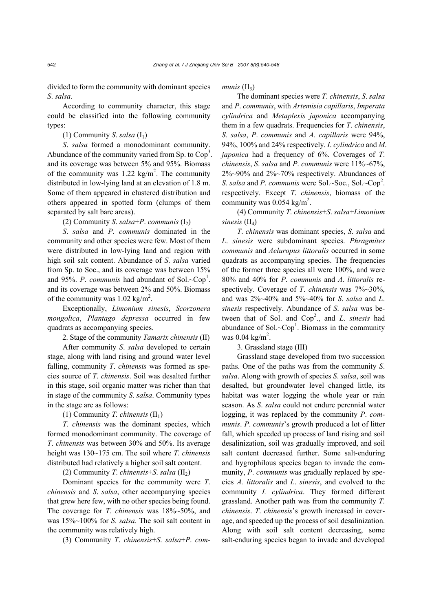divided to form the community with dominant species *S*. *salsa*.

According to community character, this stage could be classified into the following community types:

## (1) Community *S. salsa*  $(I_1)$

*S*. *salsa* formed a monodominant community. Abundance of the community varied from Sp. to  $\text{Cop}^3$ . and its coverage was between 5% and 95%. Biomass of the community was  $1.22 \text{ kg/m}^2$ . The community distributed in low-lying land at an elevation of 1.8 m. Some of them appeared in clustered distribution and others appeared in spotted form (clumps of them separated by salt bare areas).

(2) Community *S.* salsa+*P.* communis  $(I_2)$ 

*S*. *salsa* and *P*. *communis* dominated in the community and other species were few. Most of them were distributed in low-lying land and region with high soil salt content. Abundance of *S*. *salsa* varied from Sp. to Soc., and its coverage was between 15% and 95%. *P.* communis had abundant of Sol. $\sim$ Cop<sup>1</sup>. and its coverage was between 2% and 50%. Biomass of the community was  $1.02 \text{ kg/m}^2$ .

Exceptionally, *Limonium sinesis*, *Scorzonera mongolica*, *Plantago depressa* occurred in few quadrats as accompanying species.

2. Stage of the community *Tamarix chinensis* (II)

After community *S*. *salsa* developed to certain stage, along with land rising and ground water level falling, community *T*. *chinensis* was formed as species source of *T*. *chinensis*. Soil was desalted further in this stage, soil organic matter was richer than that in stage of the community *S*. *salsa*. Community types in the stage are as follows:

(1) Community *T. chinensis*  $(II_1)$ 

*T*. *chinensis* was the dominant species, which formed monodominant community. The coverage of *T*. *chinensis* was between 30% and 50%. Its average height was 130~175 cm. The soil where *T*. *chinensis*  distributed had relatively a higher soil salt content.

(2) Community *T. chinensis*+*S. salsa*  $(II<sub>2</sub>)$ 

Dominant species for the community were *T*. *chinensis* and *S*. *salsa*, other accompanying species that grew here few, with no other species being found. The coverage for *T*. *chinensis* was 18%~50%, and was 15%~100% for *S*. *salsa*. The soil salt content in the community was relatively high.

(3) Community *T*. *chinensis*+*S*. *salsa*+*P*. *com-*

*munis*  $(II_3)$ 

The dominant species were *T*. *chinensis*, *S*. *salsa* and *P*. *communis*, with *Artemisia capillaris*, *Imperata cylindrica* and *Metaplexis japonica* accompanying them in a few quadrats. Frequencies for *T*. *chinensis*, *S*. *salsa*, *P*. *communis* and *A*. *capillaris* were 94%, 94%, 100% and 24% respectively. *I*. *cylindrica* and *M*. *japonica* had a frequency of 6%. Coverages of *T*. *chinensis*, *S*. *salsa* and *P*. *communis* were 11%~67%, 2%~90% and 2%~70% respectively. Abundances of *S. salsa* and *P. communis* were Sol.~Soc., Sol.~Cop<sup>2</sup>. respectively. Except *T*. *chinensis*, biomass of the community was  $0.054 \text{ kg/m}^2$ .

(4) Community *T*. *chinensis*+*S*. *salsa*+*Limonium sinesis* (II<sub>4</sub>)

*T*. *chinensis* was dominant species, *S*. *salsa* and *L*. *sinesis* were subdominant species. *Phragmites communis* and *Aeluropus littoralis* occurred in some quadrats as accompanying species. The frequencies of the former three species all were 100%, and were 80% and 40% for *P*. *communis* and *A*. *littoralis* respectively. Coverage of *T*. *chinensis* was 7%~30%, and was 2%~40% and 5%~40% for *S*. *salsa* and *L*. *sinesis* respectively. Abundance of *S*. *salsa* was between that of Sol. and Cop<sup>2</sup>., and *L. sinesis* had abundance of Sol. $\sim$ Cop<sup>1</sup>. Biomass in the community was  $0.04 \text{ kg/m}^2$ .

3. Grassland stage (III)

Grassland stage developed from two succession paths. One of the paths was from the community *S*. *salsa*. Along with growth of species *S*. *salsa*, soil was desalted, but groundwater level changed little, its habitat was water logging the whole year or rain season. As *S*. *salsa* could not endure perennial water logging, it was replaced by the community *P*. *communis*. *P*. *communis*'s growth produced a lot of litter fall, which speeded up process of land rising and soil desalinization, soil was gradually improved, and soil salt content decreased further. Some salt-enduring and hygrophilous species began to invade the community, *P*. *communis* was gradually replaced by species *A. littoralis* and *L*. *sinesis*, and evolved to the community *I. cylindrica*. They formed different grassland. Another path was from the community *T*. *chinensis*. *T*. *chinensis*'s growth increased in coverage, and speeded up the process of soil desalinization. Along with soil salt content decreasing, some salt-enduring species began to invade and developed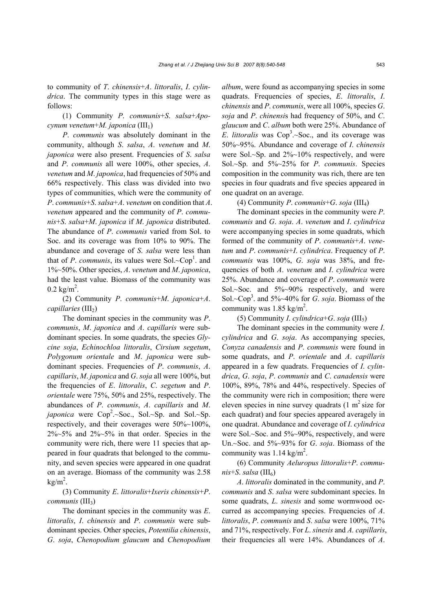to community of *T*. *chinensis*+*A*. *littoralis*, *I*. *cylindrica*. The community types in this stage were as follows:

(1) Community *P*. *communis*+*S*. *salsa*+*Apocynum venetum*+*M. japonica* (III<sub>1</sub>)

*P*. *communis* was absolutely dominant in the community, although *S*. *salsa*, *A*. *venetum* and *M*. *japonica* were also present. Frequencies of *S*. *salsa*  and *P*. *communis* all were 100%, other species, *A*. *venetum* and *M*. *japonica*, had frequencies of 50% and 66% respectively. This class was divided into two types of communities, which were the community of *P*. *communis*+*S*. *salsa*+*A*. *venetum* on condition that *A*. *venetum* appeared and the community of *P*. *communis*+*S*. *salsa*+*M*. *japonica* if *M*. *japonica* distributed. The abundance of *P*. *communis* varied from Sol. to Soc. and its coverage was from 10% to 90%. The abundance and coverage of *S*. *salsa* were less than that of *P. communis*, its values were Sol. $\sim$ Cop<sup>1</sup>. and 1%~50%. Other species, *A*. *venetum* and *M*. *japonica*, had the least value. Biomass of the community was  $0.2 \text{ kg/m}^2$ .

(2) Community *P*. *communis*+*M*. *japonica*+*A*. *capillaries* (III<sub>2</sub>)

The dominant species in the community was *P*. *communis*, *M*. *japonica* and *A*. *capillaris* were subdominant species. In some quadrats, the species *Glycine soja*, *Echinochloa littoralis*, *Cirsium segetum*, *Polygonum orientale* and *M*. *japonica* were subdominant species. Frequencies of *P*. *communis*, *A*. *capillaris*, *M*. *japonica* and *G*. *soja* all were 100%, but the frequencies of *E*. *littoralis*, *C*. *segetum* and *P*. *orientale* were 75%, 50% and 25%, respectively. The abundances of *P*. *communis*, *A*. *capillaris* and *M*. *japonica* were  $Cop^2.\sim Soc., Sol.\sim Sp.$  and  $Sol.\sim Sp.$ respectively, and their coverages were 50%~100%,  $2\%~5\%$  and  $2\%~5\%$  in that order. Species in the community were rich, there were 11 species that appeared in four quadrats that belonged to the community, and seven species were appeared in one quadrat on an average. Biomass of the community was 2.58  $kg/m<sup>2</sup>$ .

(3) Community *E*. *littoralis*+*Ixeris chinensis*+*P*. *communis* (III3)

The dominant species in the community was *E*. *littoralis*, *I*. *chinensis* and *P*. *communis* were subdominant species. Other species, *Potentilia chinensis*, *G*. *soja*, *Chenopodium glaucum* and *Chenopodium*  *album*, were found as accompanying species in some quadrats. Frequencies of species, *E*. *littoralis*, *I*. *chinensis* and *P*. *communis*, were all 100%, species *G*. *soja* and *P*. *chinensi*s had frequency of 50%, and *C*. *glaucum* and *C*. *album* both were 25%. Abundance of *E*. *littoralis* was  $Cop^3 \sim Soc$ , and its coverage was 50%~95%. Abundance and coverage of *I*. *chinensis*  were Sol.~Sp. and 2%~10% respectively, and were Sol.~Sp. and 5%~25% for *P*. *communis*. Species composition in the community was rich, there are ten species in four quadrats and five species appeared in one quadrat on an average.

(4) Community *P*. *communis*+*G*. *soja* (III4)

The dominant species in the community were *P*. *communis* and *G*. *soja*. *A*. *venetum* and *I*. *cylindrica* were accompanying species in some quadrats, which formed of the community of *P*. *communis*+*A*. *venetum* and *P*. *communis*+*I*. *cylindrica*. Frequency of *P*. *communis* was 100%, *G*. *soja* was 38%, and frequencies of both *A*. *venetum* and *I*. *cylindrica* were 25%. Abundance and coverage of *P*. *communis* were Sol.~Soc. and 5%~90% respectively, and were Sol.~Cop3 . and 5%~40% for *G*. *soja*. Biomass of the community was  $1.85 \text{ kg/m}^2$ .

(5) Community *I*. *cylindrica*+*G*. *soja* (III5)

The dominant species in the community were *I*. *cylindrica* and *G*. *soja*. As accompanying species, *Conyza canadensis* and *P*. *communis* were found in some quadrats, and *P*. *orientale* and *A*. *capillaris* appeared in a few quadrats. Frequencies of *I*. *cylindrica*, *G*. *soja*, *P*. *communis* and *C*. *canadensis* were 100%, 89%, 78% and 44%, respectively. Species of the community were rich in composition; there were eleven species in nine survey quadrats  $(1 \text{ m}^2 \text{ size for})$ each quadrat) and four species appeared averagely in one quadrat. Abundance and coverage of *I*. *cylindrica* were Sol.~Soc. and 5%~90%, respectively, and were Un.~Soc. and 5%~93% for *G*. *soja*. Biomass of the community was  $1.14 \text{ kg/m}^2$ .

(6) Community *Aeluropus littoralis*+*P*. *commu* $nis+ S.$  *salsa* ( $III<sub>6</sub>$ )

*A*. *littoralis* dominated in the community, and *P*. *communis* and *S*. *salsa* were subdominant species. In some quadrats, *L*. *sinesis* and some wormwood occurred as accompanying species. Frequencies of *A*. *littoralis*, *P*. *communis* and *S*. *salsa* were 100%, 71% and 71%, respectively. For *L*. *sinesis* and *A. capillaris*, their frequencies all were 14%. Abundances of *A*.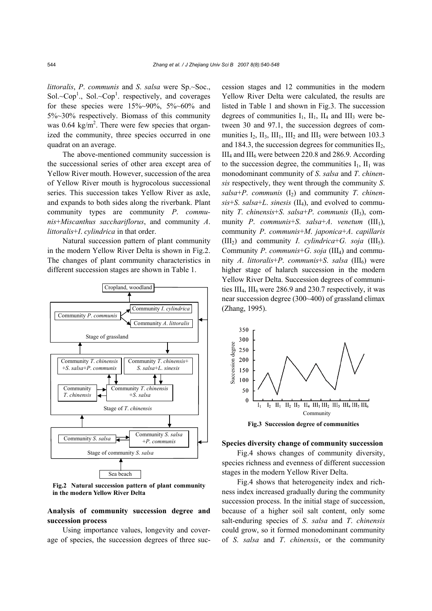*littoralis*, *P*. *communis* and *S*. *salsa* were Sp.~Soc., Sol.~Cop<sup>1</sup>., Sol.~Cop<sup>1</sup>. respectively, and coverages for these species were  $15\%~90\%$ ,  $5\%~60\%$  and 5%~30% respectively. Biomass of this community was 0.64 kg/m<sup>2</sup>. There were few species that organized the community, three species occurred in one quadrat on an average.

The above-mentioned community succession is the successional series of other area except area of Yellow River mouth. However, succession of the area of Yellow River mouth is hygrocolous successional series. This succession takes Yellow River as axle, and expands to both sides along the riverbank. Plant community types are community *P*. *communis*+*Miscanthus sacchariflorus*, and community *A*. *littoralis*+*I*. *cylindrica* in that order.

Natural succession pattern of plant community in the modern Yellow River Delta is shown in Fig.2. The changes of plant community characteristics in different succession stages are shown in Table 1.



**Fig.2 Natural succession pattern of plant community in the modern Yellow River Delta**

## **Analysis of community succession degree and succession process**

Using importance values, longevity and coverage of species, the succession degrees of three succession stages and 12 communities in the modern Yellow River Delta were calculated, the results are listed in Table 1 and shown in Fig.3. The succession degrees of communities  $I_1$ ,  $II_1$ ,  $II_4$  and  $III_3$  were between 30 and 97.1, the succession degrees of communities  $I_2$ ,  $II_3$ ,  $III_1$ ,  $III_2$  and  $III_5$  were between 103.3 and 184.3, the succession degrees for communities  $II_2$ ,  $III<sub>4</sub>$  and  $III<sub>6</sub>$  were between 220.8 and 286.9. According to the succession degree, the communities  $I_1$ ,  $II_1$  was monodominant community of *S*. *salsa* and *T*. *chinensis* respectively, they went through the community *S*.  $salsa+P$ . *communis* (I<sub>2</sub>) and community *T*. *chinensis*+*S*. *salsa*+*L*. *sinesis* (II4), and evolved to community *T*. *chinensis*+*S*. *salsa*+*P*. *communis* (II3), community *P.* communis+*S.* salsa+*A.* venetum (III<sub>1</sub>), community *P*. *communis*+*M*. *japonica*+*A*. *capillaris*  (III<sub>2</sub>) and community *I. cylindrica*+*G. soja* (III<sub>5</sub>). Community *P*. *communis*+*G*. *soja* (III4) and community *A*. *littoralis*+*P*. *communis*+*S*. *salsa* (III6) were higher stage of halarch succession in the modern Yellow River Delta. Succession degrees of communities  $III<sub>4</sub>$ ,  $III<sub>6</sub>$  were 286.9 and 230.7 respectively, it was near succession degree (300~400) of grassland climax (Zhang, 1995).



**Fig.3 Succession degree of communities** 

#### **Species diversity change of community succession**

Fig.4 shows changes of community diversity, species richness and evenness of different succession stages in the modern Yellow River Delta.

Fig.4 shows that heterogeneity index and richness index increased gradually during the community succession process. In the initial stage of succession, because of a higher soil salt content, only some salt-enduring species of *S*. *salsa* and *T*. *chinensis* could grow, so it formed monodominant community of *S*. *salsa* and *T*. *chinensis*, or the community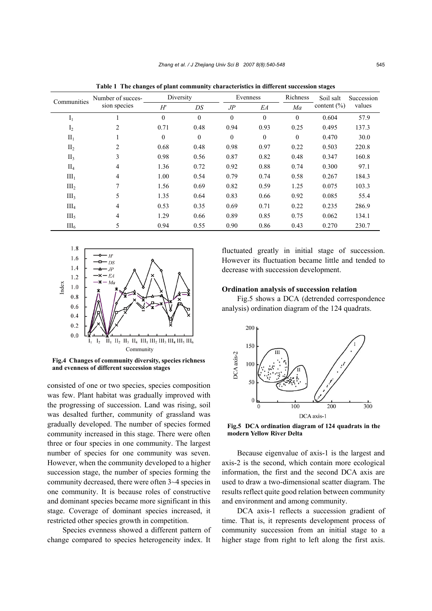| Communities      | Number of succes-<br>sion species | Diversity |          |              | Evenness     | Richness | Soil salt       | Succession |
|------------------|-----------------------------------|-----------|----------|--------------|--------------|----------|-----------------|------------|
|                  |                                   | H'        | DS       | $J\!P$<br>EA |              | Ma       | content $(\% )$ | values     |
| $I_1$            |                                   | $\Omega$  | $\theta$ | $\Omega$     | $\theta$     | $\theta$ | 0.604           | 57.9       |
| I <sub>2</sub>   | 2                                 | 0.71      | 0.48     | 0.94         | 0.93         | 0.25     | 0.495           | 137.3      |
| $\Pi_1$          |                                   | $\Omega$  | $\theta$ | $\theta$     | $\mathbf{0}$ | $\theta$ | 0.470           | 30.0       |
| II <sub>2</sub>  | 2                                 | 0.68      | 0.48     | 0.98         | 0.97         | 0.22     | 0.503           | 220.8      |
| II <sub>3</sub>  | 3                                 | 0.98      | 0.56     | 0.87         | 0.82         | 0.48     | 0.347           | 160.8      |
| $\rm{II}_4$      | 4                                 | 1.36      | 0.72     | 0.92         | 0.88         | 0.74     | 0.300           | 97.1       |
| III <sub>1</sub> | $\overline{4}$                    | 1.00      | 0.54     | 0.79         | 0.74         | 0.58     | 0.267           | 184.3      |
| III <sub>2</sub> | 7                                 | 1.56      | 0.69     | 0.82         | 0.59         | 1.25     | 0.075           | 103.3      |
| III <sub>3</sub> | 5                                 | 1.35      | 0.64     | 0.83         | 0.66         | 0.92     | 0.085           | 55.4       |
| $III_4$          | 4                                 | 0.53      | 0.35     | 0.69         | 0.71         | 0.22     | 0.235           | 286.9      |
| III <sub>5</sub> | 4                                 | 1.29      | 0.66     | 0.89         | 0.85         | 0.75     | 0.062           | 134.1      |
| III <sub>6</sub> | 5                                 | 0.94      | 0.55     | 0.90         | 0.86         | 0.43     | 0.270           | 230.7      |

**Table 1 The changes of plant community characteristics in different succession stages**



**Fig.4 Changes of community diversity, species richness and evenness of different succession stages** 

consisted of one or two species, species composition was few. Plant habitat was gradually improved with the progressing of succession. Land was rising, soil was desalted further, community of grassland was gradually developed. The number of species formed community increased in this stage. There were often three or four species in one community. The largest number of species for one community was seven. However, when the community developed to a higher succession stage, the number of species forming the community decreased, there were often 3~4 species in one community. It is because roles of constructive and dominant species became more significant in this stage. Coverage of dominant species increased, it restricted other species growth in competition.

Species evenness showed a different pattern of change compared to species heterogeneity index. It fluctuated greatly in initial stage of succession. However its fluctuation became little and tended to decrease with succession development.

## **Ordination analysis of succession relation**

Fig.5 shows a DCA (detrended correspondence analysis) ordination diagram of the 124 quadrats.



**Fig.5 DCA ordination diagram of 124 quadrats in the modern Yellow River Delta** 

Because eigenvalue of axis-1 is the largest and axis-2 is the second, which contain more ecological information, the first and the second DCA axis are used to draw a two-dimensional scatter diagram. The results reflect quite good relation between community and environment and among community.

DCA axis-1 reflects a succession gradient of time. That is, it represents development process of community succession from an initial stage to a higher stage from right to left along the first axis.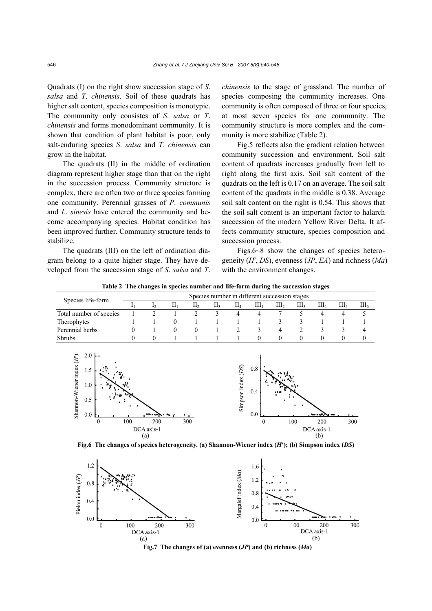Quadrats (I) on the right show succession stage of *S*. *salsa* and *T*. *chinensis*. Soil of these quadrats has higher salt content, species composition is monotypic. The community only consistes of *S*. *salsa* or *T*. *chinensis* and forms monodominant community. It is shown that condition of plant habitat is poor, only salt-enduring species *S*. *salsa* and *T*. *chinensis* can grow in the habitat.

The quadrats (II) in the middle of ordination diagram represent higher stage than that on the right in the succession process. Community structure is complex, there are often two or three species forming one community. Perennial grasses of *P*. *communis* and *L*. *sinesis* have entered the community and become accompanying species. Habitat condition has been improved further. Community structure tends to stabilize.

The quadrats (III) on the left of ordination diagram belong to a quite higher stage. They have developed from the succession stage of *S*. *salsa* and *T*.

DCA axis-1

*chinensis* to the stage of grassland. The number of species composing the community increases. One community is often composed of three or four species, at most seven species for one community. The community structure is more complex and the community is more stabilize (Table 2).

Fig.5 reflects also the gradient relation between community succession and environment. Soil salt content of quadrats increases gradually from left to right along the first axis. Soil salt content of the quadrats on the left is 0.17 on an average. The soil salt content of the quadrats in the middle is 0.38. Average soil salt content on the right is 0.54. This shows that the soil salt content is an important factor to halarch succession of the modern Yellow River Delta. It affects community structure, species composition and succession process.

Figs.6~8 show the changes of species heterogeneity (*H*′, *DS*), evenness (*JP*, *EA*) and richness (*Ma*) with the environment changes.

DCA axis-1

**Table 2 The changes in species number and life-form during the succession stages**

| Species life-form                                                        | Species number in different succession stages |                        |                          |                 |                        |                       |                               |                  |                  |                    |                  |                  |
|--------------------------------------------------------------------------|-----------------------------------------------|------------------------|--------------------------|-----------------|------------------------|-----------------------|-------------------------------|------------------|------------------|--------------------|------------------|------------------|
|                                                                          |                                               | $\mathbf{L}$           | $\prod_1$                | II <sub>2</sub> | $\prod_{\mathfrak{A}}$ | $\rm{II}_4$           | III <sub>1</sub>              | III <sub>2</sub> | III <sub>3</sub> | $III_4$            | III <sub>5</sub> | III <sub>6</sub> |
| Total number of species                                                  |                                               | $\overline{2}$         |                          | $\overline{c}$  | 3                      | 4                     | 4                             | 7                | 5                | 4                  | 4                | 5                |
| Therophytes                                                              |                                               |                        | $\theta$                 |                 |                        |                       |                               | 3                | 3                |                    |                  |                  |
| Perennial herbs                                                          | $^{(1)}$                                      |                        | $\theta$                 | $\theta$        |                        | $\overline{2}$        | 3                             | 4                | $\mathfrak{D}$   | 3                  | 3                | 4                |
| Shrubs                                                                   | $_{0}$                                        | $\mathbf{0}$           |                          |                 |                        |                       | 0                             | $\mathbf{0}$     | $\theta$         | $\mathbf{0}$       | 0                | 0                |
| 2.0<br>Shannon-Wiener index (H')<br>1.5<br>1.0<br>0.5<br>0.0<br>$\Omega$ | 100                                           | <b>Separate</b><br>200 | $\overline{\phantom{a}}$ | 300             |                        | (DS)<br>Simpson index | 0.8<br>0.4<br>0.0<br>$\Omega$ |                  | 100              | زاليد د هدا<br>200 | 300              |                  |

**Fig.6 The changes of species heterogeneity. (a) Shannon-Wiener index (***H***′); (b) Simpson index (***DS***)** 

 $(a)$  (b)



**Fig.7 The changes of (a) evenness (***JP***) and (b) richness (***Ma***)**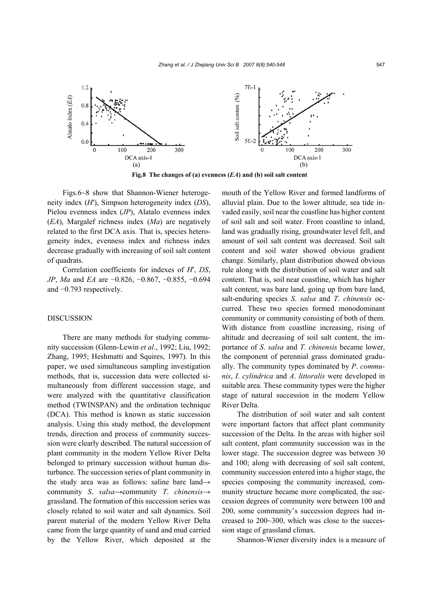

**Fig.8 The changes of (a) evenness (***EA***) and (b) soil salt content** 

Figs.6~8 show that Shannon-Wiener heterogeneity index (*H*′), Simpson heterogeneity index (*DS*), Pielou evenness index (*JP*), Alatalo evenness index (*EA*), Margalef richness index (*Ma*) are negatively related to the first DCA axis. That is, species heterogeneity index, evenness index and richness index decrease gradually with increasing of soil salt content of quadrats.

Correlation coefficients for indexes of *H*′, *DS*, *JP*, *Ma* and *EA* are −0.826, −0.867, −0.855, −0.694 and −0.793 respectively.

#### DISCUSSION

There are many methods for studying community succession (Glenn-Lewin *et al*., 1992; Liu, 1992; Zhang, 1995; Heshmatti and Squires, 1997). In this paper, we used simultaneous sampling investigation methods, that is, succession data were collected simultaneously from different succession stage, and were analyzed with the quantitative classification method (TWINSPAN) and the ordination technique (DCA). This method is known as static succession analysis. Using this study method, the development trends, direction and process of community succession were clearly described. The natural succession of plant community in the modern Yellow River Delta belonged to primary succession without human disturbance. The succession series of plant community in the study area was as follows: saline bare land→ community *S*. *salsa*→community *T*. *chinensis*→ grassland. The formation of this succession series was closely related to soil water and salt dynamics. Soil parent material of the modern Yellow River Delta came from the large quantity of sand and mud carried by the Yellow River, which deposited at the

mouth of the Yellow River and formed landforms of alluvial plain. Due to the lower altitude, sea tide invaded easily, soil near the coastline has higher content of soil salt and soil water. From coastline to inland, land was gradually rising, groundwater level fell, and amount of soil salt content was decreased. Soil salt content and soil water showed obvious gradient change. Similarly, plant distribution showed obvious rule along with the distribution of soil water and salt content. That is, soil near coastline, which has higher salt content, was bare land, going up from bare land, salt-enduring species *S*. *salsa* and *T*. *chinensis* occurred. These two species formed monodominant community or community consisting of both of them. With distance from coastline increasing, rising of altitude and decreasing of soil salt content, the importance of *S*. *salsa* and *T*. *chinensis* became lower, the component of perennial grass dominated gradually. The community types dominated by *P*. *communis*, *I*. *cylindrica* and *A*. *littoralis* were developed in suitable area. These community types were the higher stage of natural succession in the modern Yellow River Delta.

The distribution of soil water and salt content were important factors that affect plant community succession of the Delta. In the areas with higher soil salt content, plant community succession was in the lower stage. The succession degree was between 30 and 100; along with decreasing of soil salt content, community succession entered into a higher stage, the species composing the community increased, community structure became more complicated, the succession degrees of community were between 100 and 200, some community's succession degrees had increased to 200~300, which was close to the succession stage of grassland climax.

Shannon-Wiener diversity index is a measure of